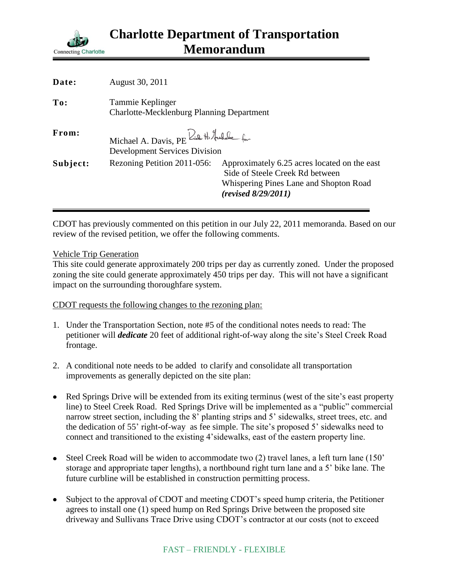

| Date:    | August 30, 2011                                                                  |                                                                                                                                                  |
|----------|----------------------------------------------------------------------------------|--------------------------------------------------------------------------------------------------------------------------------------------------|
| To:      | Tammie Keplinger<br><b>Charlotte-Mecklenburg Planning Department</b>             |                                                                                                                                                  |
| From:    | Michael A. Davis, PE Rich H. Hushake for<br><b>Development Services Division</b> |                                                                                                                                                  |
| Subject: | Rezoning Petition 2011-056:                                                      | Approximately 6.25 acres located on the east<br>Side of Steele Creek Rd between<br>Whispering Pines Lane and Shopton Road<br>(revised 8/29/2011) |

CDOT has previously commented on this petition in our July 22, 2011 memoranda. Based on our review of the revised petition, we offer the following comments.

## Vehicle Trip Generation

This site could generate approximately 200 trips per day as currently zoned. Under the proposed zoning the site could generate approximately 450 trips per day. This will not have a significant impact on the surrounding thoroughfare system.

## CDOT requests the following changes to the rezoning plan:

- 1. Under the Transportation Section, note #5 of the conditional notes needs to read: The petitioner will *dedicate* 20 feet of additional right-of-way along the site's Steel Creek Road frontage.
- 2. A conditional note needs to be added to clarify and consolidate all transportation improvements as generally depicted on the site plan:
- Red Springs Drive will be extended from its exiting terminus (west of the site's east property line) to Steel Creek Road. Red Springs Drive will be implemented as a "public" commercial narrow street section, including the 8' planting strips and 5' sidewalks, street trees, etc. and the dedication of 55' right-of-way as fee simple. The site's proposed 5' sidewalks need to connect and transitioned to the existing 4'sidewalks, east of the eastern property line.
- Steel Creek Road will be widen to accommodate two (2) travel lanes, a left turn lane (150' storage and appropriate taper lengths), a northbound right turn lane and a 5' bike lane. The future curbline will be established in construction permitting process.
- Subject to the approval of CDOT and meeting CDOT's speed hump criteria, the Petitioner agrees to install one (1) speed hump on Red Springs Drive between the proposed site driveway and Sullivans Trace Drive using CDOT's contractor at our costs (not to exceed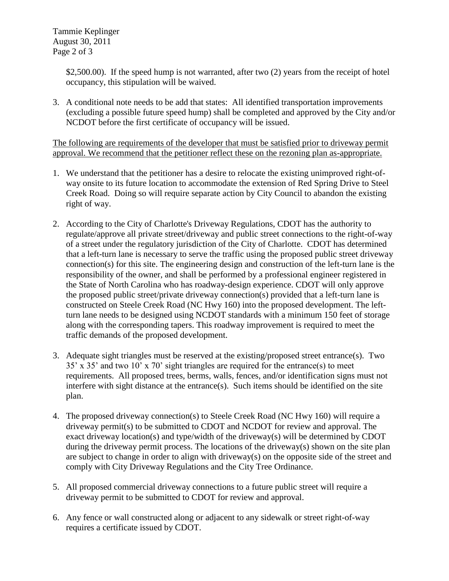Tammie Keplinger August 30, 2011 Page 2 of 3

> \$2,500.00). If the speed hump is not warranted, after two (2) years from the receipt of hotel occupancy, this stipulation will be waived.

3. A conditional note needs to be add that states: All identified transportation improvements (excluding a possible future speed hump) shall be completed and approved by the City and/or NCDOT before the first certificate of occupancy will be issued.

The following are requirements of the developer that must be satisfied prior to driveway permit approval. We recommend that the petitioner reflect these on the rezoning plan as-appropriate.

- 1. We understand that the petitioner has a desire to relocate the existing unimproved right-ofway onsite to its future location to accommodate the extension of Red Spring Drive to Steel Creek Road. Doing so will require separate action by City Council to abandon the existing right of way.
- 2. According to the City of Charlotte's Driveway Regulations, CDOT has the authority to regulate/approve all private street/driveway and public street connections to the right-of-way of a street under the regulatory jurisdiction of the City of Charlotte. CDOT has determined that a left-turn lane is necessary to serve the traffic using the proposed public street driveway connection(s) for this site. The engineering design and construction of the left-turn lane is the responsibility of the owner, and shall be performed by a professional engineer registered in the State of North Carolina who has roadway-design experience. CDOT will only approve the proposed public street/private driveway connection(s) provided that a left-turn lane is constructed on Steele Creek Road (NC Hwy 160) into the proposed development. The leftturn lane needs to be designed using NCDOT standards with a minimum 150 feet of storage along with the corresponding tapers. This roadway improvement is required to meet the traffic demands of the proposed development.
- 3. Adequate sight triangles must be reserved at the existing/proposed street entrance(s). Two 35' x 35' and two 10' x 70' sight triangles are required for the entrance(s) to meet requirements. All proposed trees, berms, walls, fences, and/or identification signs must not interfere with sight distance at the entrance(s). Such items should be identified on the site plan.
- 4. The proposed driveway connection(s) to Steele Creek Road (NC Hwy 160) will require a driveway permit(s) to be submitted to CDOT and NCDOT for review and approval. The exact driveway location(s) and type/width of the driveway(s) will be determined by CDOT during the driveway permit process. The locations of the driveway(s) shown on the site plan are subject to change in order to align with driveway(s) on the opposite side of the street and comply with City Driveway Regulations and the City Tree Ordinance.
- 5. All proposed commercial driveway connections to a future public street will require a driveway permit to be submitted to CDOT for review and approval.
- 6. Any fence or wall constructed along or adjacent to any sidewalk or street right-of-way requires a certificate issued by CDOT.